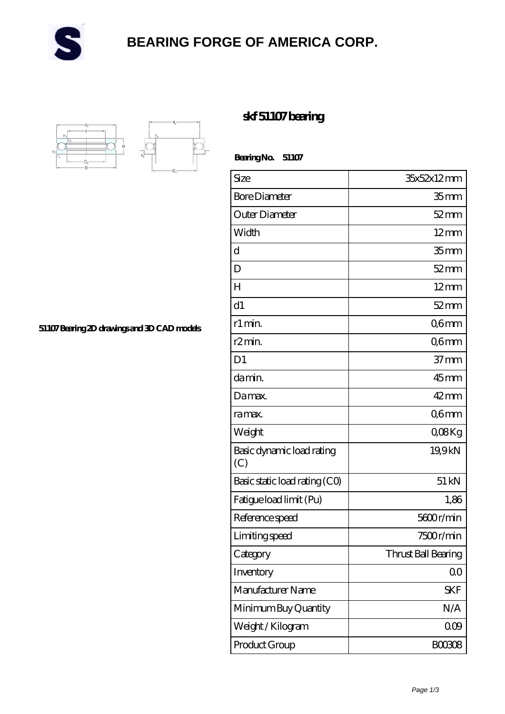

## **[BEARING FORGE OF AMERICA CORP.](https://m.danwei.tv)**



**[51107 Bearing 2D drawings and 3D CAD models](https://m.danwei.tv/pic-461384.html)**

## **[skf 51107 bearing](https://m.danwei.tv/skf-51107-bearing/)**

 **Bearing No. 51107**

| Size                             | 35x52x12mm          |
|----------------------------------|---------------------|
| <b>Bore Diameter</b>             | 35 <sub>mm</sub>    |
| Outer Diameter                   | $52$ mm             |
| Width                            | $12 \text{mm}$      |
| d                                | 35 <sub>mm</sub>    |
| D                                | $52$ mm             |
| H                                | $12 \text{mm}$      |
| d1                               | $52$ mm             |
| r1 min.                          | Q6mm                |
| r <sub>2</sub> min.              | Q6mm                |
| D1                               | $37 \text{mm}$      |
| da min.                          | $45$ <sub>mm</sub>  |
| Damax.                           | $42 \text{mm}$      |
| ra max.                          | Q6mm                |
| Weight                           | QOBKg               |
| Basic dynamic load rating<br>(C) | 19,9kN              |
| Basic static load rating (CO)    | $51 \,\mathrm{kN}$  |
| Fatigue load limit (Pu)          | 1,86                |
| Reference speed                  | 5600r/min           |
| Limiting speed                   | 7500r/min           |
| Category                         | Thrust Ball Bearing |
| Inventory                        | 0 <sub>0</sub>      |
| Manufacturer Name                | <b>SKF</b>          |
| Minimum Buy Quantity             | N/A                 |
| Weight / Kilogram                | 000                 |
| Product Group                    | <b>BOO3O8</b>       |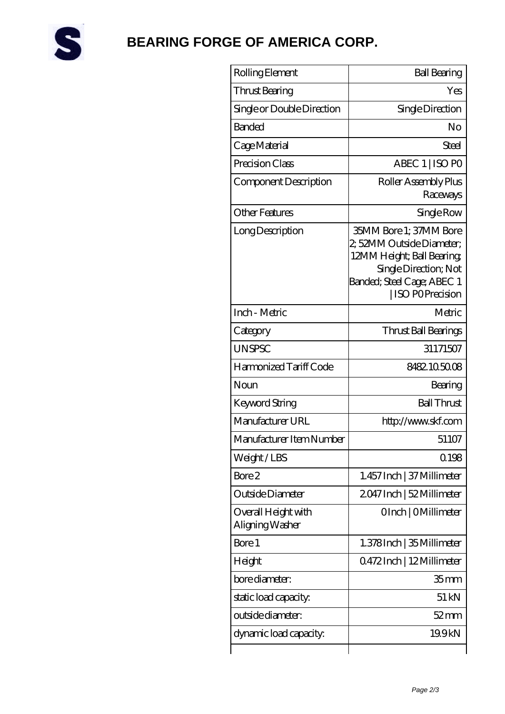

## **[BEARING FORGE OF AMERICA CORP.](https://m.danwei.tv)**

| Rolling Element                        | <b>Ball Bearing</b>                                                                                                                                         |
|----------------------------------------|-------------------------------------------------------------------------------------------------------------------------------------------------------------|
| Thrust Bearing                         | Yes                                                                                                                                                         |
| Single or Double Direction             | Single Direction                                                                                                                                            |
| <b>Banded</b>                          | No                                                                                                                                                          |
| Cage Material                          | Steel                                                                                                                                                       |
| Precision Class                        | ABEC 1   ISO PO                                                                                                                                             |
| Component Description                  | Roller Assembly Plus<br>Raceways                                                                                                                            |
| <b>Other Features</b>                  | Single Row                                                                                                                                                  |
| Long Description                       | 35MM Bore 1; 37MM Bore<br>2, 52MM Outside Diameter;<br>12MM Height; Ball Bearing;<br>Single Direction; Not<br>Banded; Steel Cage; ABEC 1<br>ISO POPrecision |
| Inch - Metric                          | Metric                                                                                                                                                      |
| Category                               | Thrust Ball Bearings                                                                                                                                        |
| <b>UNSPSC</b>                          | 31171507                                                                                                                                                    |
| Harmonized Tariff Code                 | 8482105008                                                                                                                                                  |
| Noun                                   | Bearing                                                                                                                                                     |
| Keyword String                         | <b>Ball Thrust</b>                                                                                                                                          |
| Manufacturer URL                       | http://www.skf.com                                                                                                                                          |
| Manufacturer Item Number               | 51107                                                                                                                                                       |
| Weight/LBS                             | Q198                                                                                                                                                        |
| Bore 2                                 | 1.457 Inch   37 Millimeter                                                                                                                                  |
| Outside Diameter                       | 2047 Inch   52 Millimeter                                                                                                                                   |
| Overall Height with<br>Aligning Washer | OInch   OMillimeter                                                                                                                                         |
| Bore 1                                 | 1.378 Inch   35 Millimeter                                                                                                                                  |
| Height                                 | 0472Inch   12Millimeter                                                                                                                                     |
| bore diameter:                         | 35 <sub>mm</sub>                                                                                                                                            |
| static load capacity.                  | 51 kN                                                                                                                                                       |
| outside diameter:                      | $52 \,\mathrm{mm}$                                                                                                                                          |
| dynamic load capacity:                 | 19.9kN                                                                                                                                                      |
|                                        |                                                                                                                                                             |